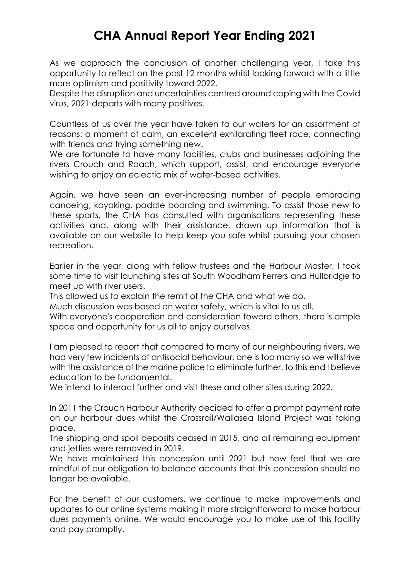## **CHA Annual Report Year Ending 2021**

As we approach the conclusion of another challenging year, I take this opportunity to reflect on the past 12 months whilst looking forward with a little more optimism and positivity toward 2022.

Despite the disruption and uncertainties centred around coping with the Covid virus, 2021 departs with many positives.

Countless of us over the year have taken to our waters for an assortment of reasons: a moment of calm, an excellent exhilarating fleet race, connecting with friends and trying something new.

We are fortunate to have many facilities, clubs and businesses adjoining the rivers Crouch and Roach, which support, assist, and encourage everyone wishing to enjoy an eclectic mix of water-based activities.

Again, we have seen an ever-increasing number of people embracing canoeing, kayaking, paddle boarding and swimming. To assist those new to these sports, the CHA has consulted with organisations representing these activities and, along with their assistance, drawn up information that is available on our website to help keep you safe whilst pursuing your chosen recreation.

Earlier in the year, along with fellow trustees and the Harbour Master, I took some time to visit launching sites at South Woodham Ferrers and Hullbridge to meet up with river users.

This allowed us to explain the remit of the CHA and what we do.

Much discussion was based on water safety, which is vital to us all.

With everyone's cooperation and consideration toward others, there is ample space and opportunity for us all to enjoy ourselves.

I am pleased to report that compared to many of our neighbouring rivers, we had very few incidents of antisocial behaviour, one is too many so we will strive with the assistance of the marine police to eliminate further, to this end I believe education to be fundamental.

We intend to interact further and visit these and other sites during 2022.

In 2011 the Crouch Harbour Authority decided to offer a prompt payment rate on our harbour dues whilst the Crossrail/Wallasea Island Project was taking place.

The shipping and spoil deposits ceased in 2015, and all remaining equipment and jetties were removed in 2019.

We have maintained this concession until 2021 but now feel that we are mindful of our obligation to balance accounts that this concession should no longer be available.

For the benefit of our customers, we continue to make improvements and updates to our online systems making it more straightforward to make harbour dues payments online. We would encourage you to make use of this facility and pay promptly.